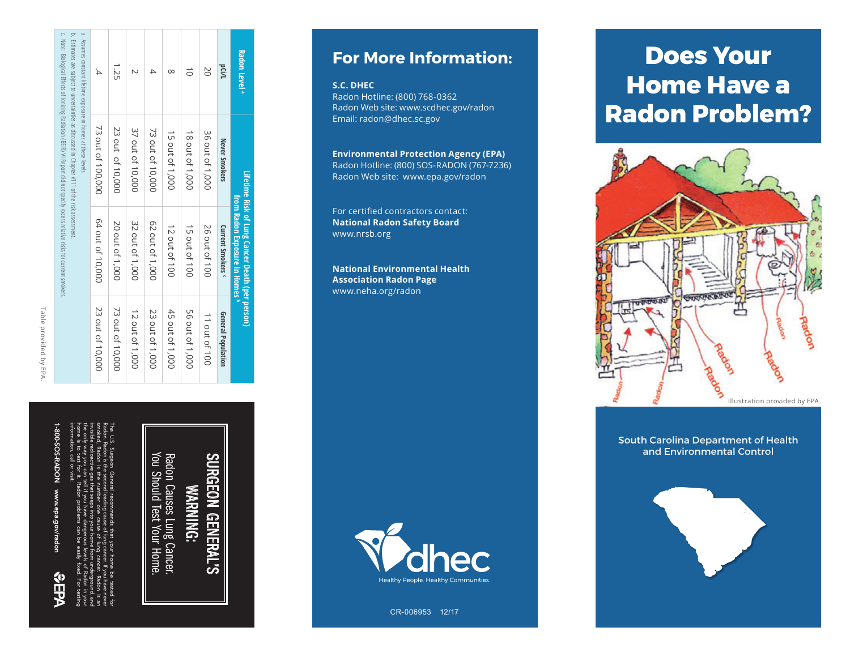| c. Not the makers of location district of the parameter of the Date of the Databate States of location content and with $\alpha$<br>$\overline{\phantom{a}}$<br>ò<br>Assumes constant lifetime exposure in homes at these levels.<br>Estimates are subject to uncertainties as discussed in Chapter V111 of the risk assessment. | $\ddot{4}$        | 1.25             | N                | 4                | $\infty$        | $\vec{0}$       | 20              | pci/l                        | Radon Level <sup>a</sup>                                                          |
|----------------------------------------------------------------------------------------------------------------------------------------------------------------------------------------------------------------------------------------------------------------------------------------------------------------------------------|-------------------|------------------|------------------|------------------|-----------------|-----------------|-----------------|------------------------------|-----------------------------------------------------------------------------------|
|                                                                                                                                                                                                                                                                                                                                  | 73 out of 100,000 | 23 out of 10,000 | 37 out of 10,000 | 73 out of 10,000 | 15 out of 1,000 | 18 out of 1,000 | 36 out of 1,000 | Never Smokers                | Lifetime Risk of Lung Cancer Death (per person)<br>from Radon Exposure in Homes " |
|                                                                                                                                                                                                                                                                                                                                  | 64 out of 10,000  | 20 out of 1,000  | 32 out of 1,000  | 62 out of 1,000  | 12 out of 100   | 15 out of 100   | 26 out of 100   | Current Smokers <sup>c</sup> |                                                                                   |
|                                                                                                                                                                                                                                                                                                                                  | 23 out of 10,000  | 73 out of 10,000 | 12 out of 1,000  | 23 out of 1,000  | 45 out of 1,000 | 56 out of 1,000 | 11 out of 100   | General Population           |                                                                                   |

# Table provided by EPA Table provided by EPA.

1-800-SOS-RADON www.epa.gov/radon

шÒ

information, call or visit: home is to test for it. Radon problems can be easily fixed. For testing the only way you can tell if you have dangerous levels of Radon in your invisible radioactive gas that seeps into your home from underground, and smoked, Radon is the number one cause of lung cancer. Radon is an Radon. Radon is the second leading cause of lung cancer. If you have never The U.S. Surgeon General recommends that your home be tested for

You Should Test Your Home. ξ Rad SURGEON Radon Causes Lung Cancer.  $\overline{C}$ **GENE** : Lung Cancer.<br>st Your Home. GENERAL'S  $\overline{\mathbf{P}}$ Cñ

### **For More Information:**

#### **S.C. DHEC**

Radon Hotline: (800) 768-0362 Radon Web site: www.scdhec.gov/radon Email: radon@dhec.sc.gov

### **Environmental Protection Agency (EPA)**

Radon Hotline: (800) SOS-RADON (767-7236) Radon Web site: www.epa.gov/radon

For certified contractors contact: **National Radon Safety Board** www.nrsb.org

**National Environmental Health Association Radon Page** www.neha.org/radon



Cigarette Smoking

CR-006953 12/17

## **Does Your Home Have a Radon Problem?**



South Carolina Department of Health and Environmental Control